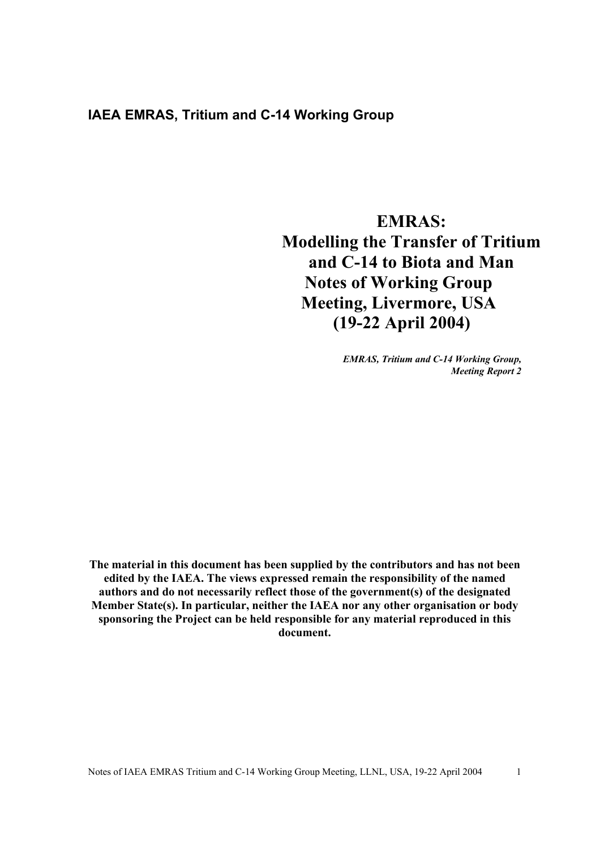## **IAEA EMRAS, Tritium and C-14 Working Group**

# **EMRAS: Modelling the Transfer of Tritium and C-14 to Biota and Man Notes of Working Group Meeting, Livermore, USA (19-22 April 2004)**

*EMRAS, Tritium and C-14 Working Group, Meeting Report 2* 

**The material in this document has been supplied by the contributors and has not been edited by the IAEA. The views expressed remain the responsibility of the named authors and do not necessarily reflect those of the government(s) of the designated Member State(s). In particular, neither the IAEA nor any other organisation or body sponsoring the Project can be held responsible for any material reproduced in this document.**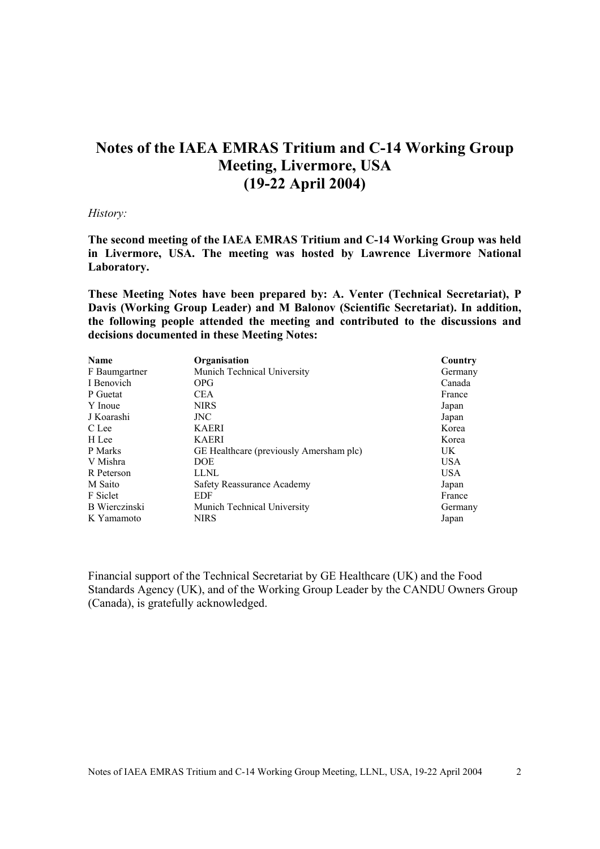## **Notes of the IAEA EMRAS Tritium and C-14 Working Group Meeting, Livermore, USA (19-22 April 2004)**

#### *History:*

**The second meeting of the IAEA EMRAS Tritium and C-14 Working Group was held in Livermore, USA. The meeting was hosted by Lawrence Livermore National Laboratory.** 

**These Meeting Notes have been prepared by: A. Venter (Technical Secretariat), P Davis (Working Group Leader) and M Balonov (Scientific Secretariat). In addition, the following people attended the meeting and contributed to the discussions and decisions documented in these Meeting Notes:**

| <b>Name</b>   | Organisation                            | Country    |
|---------------|-----------------------------------------|------------|
| F Baumgartner | Munich Technical University             | Germany    |
| I Benovich    | OPG                                     | Canada     |
| P Guetat      | <b>CEA</b>                              | France     |
| Y Inoue       | <b>NIRS</b>                             | Japan      |
| J Koarashi    | JNC.                                    | Japan      |
| C Lee         | <b>KAERI</b>                            | Korea      |
| H Lee         | <b>KAERI</b>                            | Korea      |
| P Marks       | GE Healthcare (previously Amersham plc) | UK         |
| V Mishra      | DOE.                                    | <b>USA</b> |
| R Peterson    | LLNL                                    | <b>USA</b> |
| M Saito       | Safety Reassurance Academy              | Japan      |
| F Siclet      | <b>EDF</b>                              | France     |
| B Wierczinski | Munich Technical University             | Germany    |
| K Yamamoto    | <b>NIRS</b>                             | Japan      |

Financial support of the Technical Secretariat by GE Healthcare (UK) and the Food Standards Agency (UK), and of the Working Group Leader by the CANDU Owners Group (Canada), is gratefully acknowledged.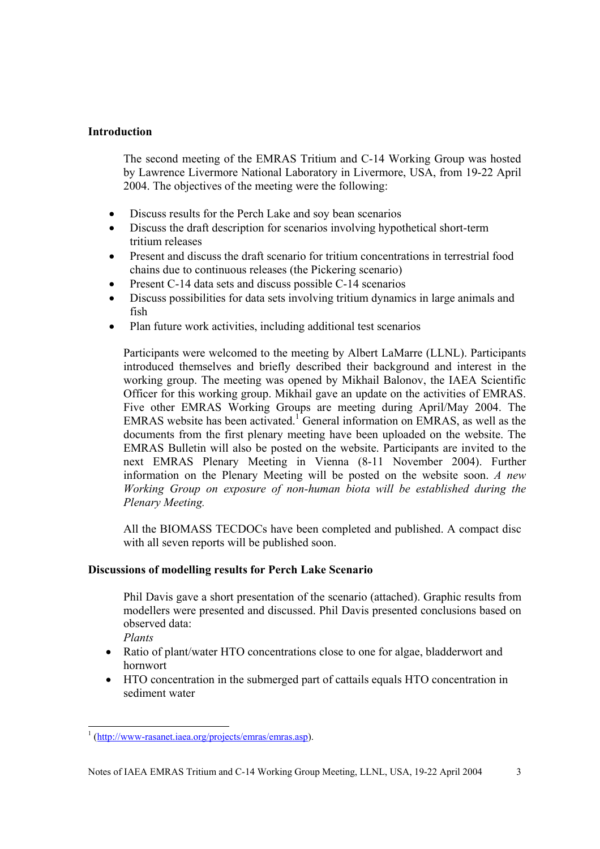## **Introduction**

The second meeting of the EMRAS Tritium and C-14 Working Group was hosted by Lawrence Livermore National Laboratory in Livermore, USA, from 19-22 April 2004. The objectives of the meeting were the following:

- Discuss results for the Perch Lake and soy bean scenarios
- Discuss the draft description for scenarios involving hypothetical short-term tritium releases
- Present and discuss the draft scenario for tritium concentrations in terrestrial food chains due to continuous releases (the Pickering scenario)
- Present C-14 data sets and discuss possible C-14 scenarios
- Discuss possibilities for data sets involving tritium dynamics in large animals and fish
- Plan future work activities, including additional test scenarios

Participants were welcomed to the meeting by Albert LaMarre (LLNL). Participants introduced themselves and briefly described their background and interest in the working group. The meeting was opened by Mikhail Balonov, the IAEA Scientific Officer for this working group. Mikhail gave an update on the activities of EMRAS. Five other EMRAS Working Groups are meeting during April/May 2004. The EMRAS website has been activated.<sup>1</sup> General information on EMRAS, as well as the documents from the first plenary meeting have been uploaded on the website. The EMRAS Bulletin will also be posted on the website. Participants are invited to the next EMRAS Plenary Meeting in Vienna (8-11 November 2004). Further information on the Plenary Meeting will be posted on the website soon. *A new Working Group on exposure of non-human biota will be established during the Plenary Meeting.* 

All the BIOMASS TECDOCs have been completed and published. A compact disc with all seven reports will be published soon.

## **Discussions of modelling results for Perch Lake Scenario**

Phil Davis gave a short presentation of the scenario (attached). Graphic results from modellers were presented and discussed. Phil Davis presented conclusions based on observed data:

*Plants*

- Ratio of plant/water HTO concentrations close to one for algae, bladderwort and hornwort
- HTO concentration in the submerged part of cattails equals HTO concentration in sediment water

<sup>&</sup>lt;sup>1</sup> (http://www-rasanet.iaea.org/projects/emras/emras.asp).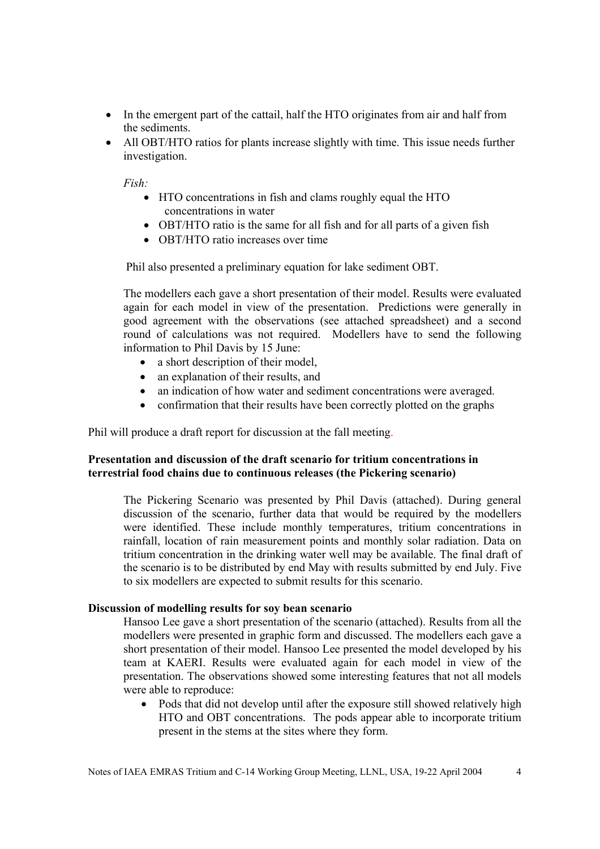- In the emergent part of the cattail, half the HTO originates from air and half from the sediments.
- All OBT/HTO ratios for plants increase slightly with time. This issue needs further investigation.

*Fish:* 

- HTO concentrations in fish and clams roughly equal the HTO concentrations in water
- OBT/HTO ratio is the same for all fish and for all parts of a given fish
- OBT/HTO ratio increases over time

Phil also presented a preliminary equation for lake sediment OBT.

The modellers each gave a short presentation of their model. Results were evaluated again for each model in view of the presentation. Predictions were generally in good agreement with the observations (see attached spreadsheet) and a second round of calculations was not required. Modellers have to send the following information to Phil Davis by 15 June:

- a short description of their model.
- an explanation of their results, and
- an indication of how water and sediment concentrations were averaged.
- confirmation that their results have been correctly plotted on the graphs

Phil will produce a draft report for discussion at the fall meeting.

## **Presentation and discussion of the draft scenario for tritium concentrations in terrestrial food chains due to continuous releases (the Pickering scenario)**

The Pickering Scenario was presented by Phil Davis (attached). During general discussion of the scenario, further data that would be required by the modellers were identified. These include monthly temperatures, tritium concentrations in rainfall, location of rain measurement points and monthly solar radiation. Data on tritium concentration in the drinking water well may be available. The final draft of the scenario is to be distributed by end May with results submitted by end July. Five to six modellers are expected to submit results for this scenario.

#### **Discussion of modelling results for soy bean scenario**

Hansoo Lee gave a short presentation of the scenario (attached). Results from all the modellers were presented in graphic form and discussed. The modellers each gave a short presentation of their model. Hansoo Lee presented the model developed by his team at KAERI. Results were evaluated again for each model in view of the presentation. The observations showed some interesting features that not all models were able to reproduce:

• Pods that did not develop until after the exposure still showed relatively high HTO and OBT concentrations. The pods appear able to incorporate tritium present in the stems at the sites where they form.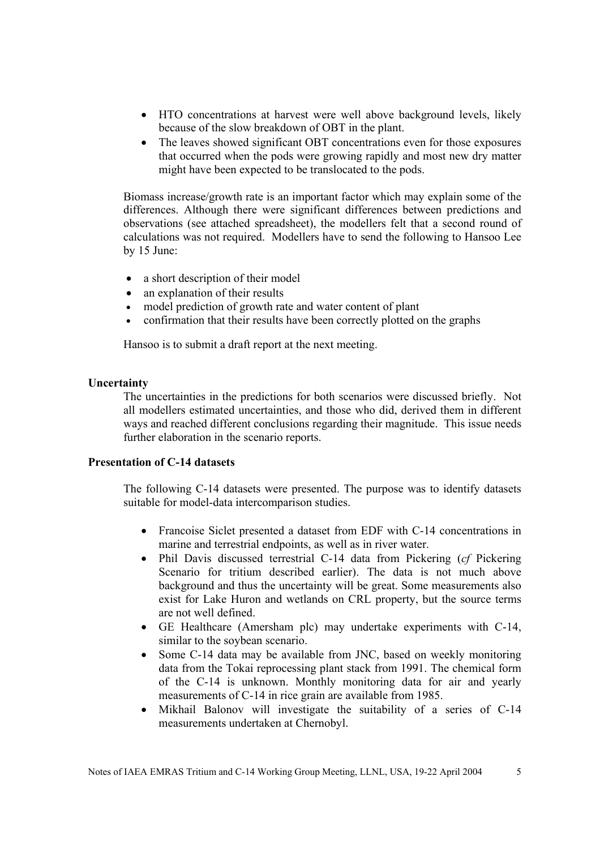- HTO concentrations at harvest were well above background levels, likely because of the slow breakdown of OBT in the plant.
- The leaves showed significant OBT concentrations even for those exposures that occurred when the pods were growing rapidly and most new dry matter might have been expected to be translocated to the pods.

Biomass increase/growth rate is an important factor which may explain some of the differences. Although there were significant differences between predictions and observations (see attached spreadsheet), the modellers felt that a second round of calculations was not required. Modellers have to send the following to Hansoo Lee by 15 June:

- a short description of their model
- an explanation of their results
- model prediction of growth rate and water content of plant
- confirmation that their results have been correctly plotted on the graphs

Hansoo is to submit a draft report at the next meeting.

#### **Uncertainty**

The uncertainties in the predictions for both scenarios were discussed briefly. Not all modellers estimated uncertainties, and those who did, derived them in different ways and reached different conclusions regarding their magnitude. This issue needs further elaboration in the scenario reports.

## **Presentation of C-14 datasets**

The following C-14 datasets were presented. The purpose was to identify datasets suitable for model-data intercomparison studies.

- Francoise Siclet presented a dataset from EDF with C-14 concentrations in marine and terrestrial endpoints, as well as in river water.
- Phil Davis discussed terrestrial C-14 data from Pickering (*cf* Pickering Scenario for tritium described earlier). The data is not much above background and thus the uncertainty will be great. Some measurements also exist for Lake Huron and wetlands on CRL property, but the source terms are not well defined.
- GE Healthcare (Amersham plc) may undertake experiments with C-14, similar to the soybean scenario.
- Some C-14 data may be available from JNC, based on weekly monitoring data from the Tokai reprocessing plant stack from 1991. The chemical form of the C-14 is unknown. Monthly monitoring data for air and yearly measurements of C-14 in rice grain are available from 1985.
- Mikhail Balonov will investigate the suitability of a series of C-14 measurements undertaken at Chernobyl.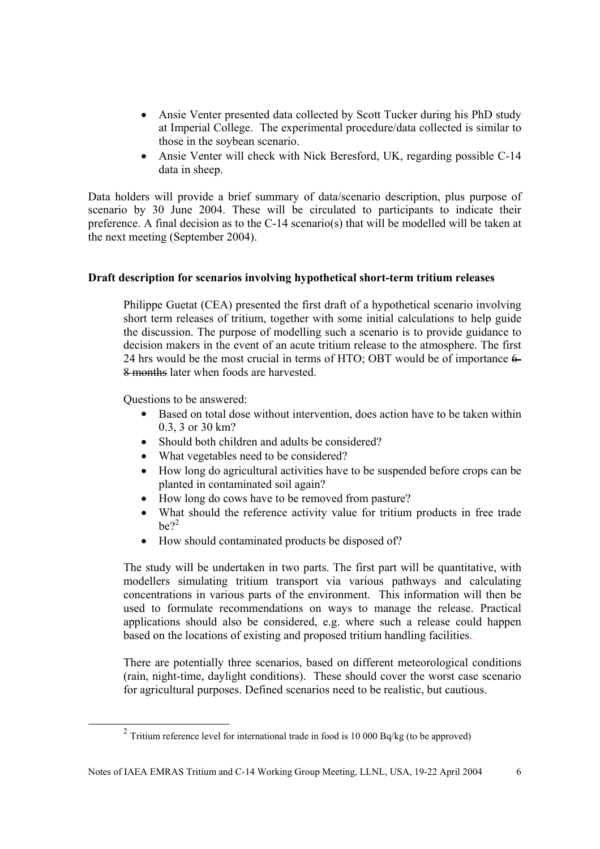- Ansie Venter presented data collected by Scott Tucker during his PhD study at Imperial College. The experimental procedure/data collected is similar to those in the soybean scenario.
- Ansie Venter will check with Nick Beresford, UK, regarding possible C-14 data in sheep.

Data holders will provide a brief summary of data/scenario description, plus purpose of scenario by 30 June 2004. These will be circulated to participants to indicate their preference. A final decision as to the C-14 scenario(s) that will be modelled will be taken at the next meeting (September 2004).

## **Draft description for scenarios involving hypothetical short-term tritium releases**

Philippe Guetat (CEA) presented the first draft of a hypothetical scenario involving short term releases of tritium, together with some initial calculations to help guide the discussion. The purpose of modelling such a scenario is to provide guidance to decision makers in the event of an acute tritium release to the atmosphere. The first 24 hrs would be the most crucial in terms of HTO; OBT would be of importance 6- 8 months later when foods are harvested.

Questions to be answered:

- Based on total dose without intervention, does action have to be taken within 0.3, 3 or 30 km?
- Should both children and adults be considered?
- What vegetables need to be considered?
- How long do agricultural activities have to be suspended before crops can be planted in contaminated soil again?
- How long do cows have to be removed from pasture?
- What should the reference activity value for tritium products in free trade  $he^{2}$
- How should contaminated products be disposed of?

The study will be undertaken in two parts. The first part will be quantitative, with modellers simulating tritium transport via various pathways and calculating concentrations in various parts of the environment. This information will then be used to formulate recommendations on ways to manage the release. Practical applications should also be considered, e.g. where such a release could happen based on the locations of existing and proposed tritium handling facilities.

There are potentially three scenarios, based on different meteorological conditions (rain, night-time, daylight conditions). These should cover the worst case scenario for agricultural purposes. Defined scenarios need to be realistic, but cautious.

 $2$  Tritium reference level for international trade in food is 10 000 Bq/kg (to be approved)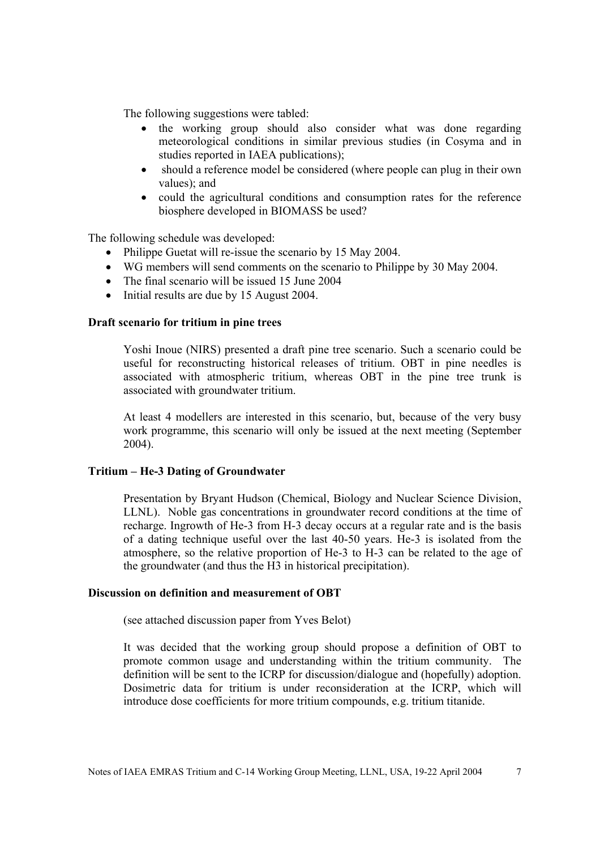The following suggestions were tabled:

- the working group should also consider what was done regarding meteorological conditions in similar previous studies (in Cosyma and in studies reported in IAEA publications);
- should a reference model be considered (where people can plug in their own values); and
- could the agricultural conditions and consumption rates for the reference biosphere developed in BIOMASS be used?

The following schedule was developed:

- Philippe Guetat will re-issue the scenario by 15 May 2004.
- WG members will send comments on the scenario to Philippe by 30 May 2004.
- The final scenario will be issued 15 June 2004
- Initial results are due by 15 August 2004.

#### **Draft scenario for tritium in pine trees**

Yoshi Inoue (NIRS) presented a draft pine tree scenario. Such a scenario could be useful for reconstructing historical releases of tritium. OBT in pine needles is associated with atmospheric tritium, whereas OBT in the pine tree trunk is associated with groundwater tritium.

At least 4 modellers are interested in this scenario, but, because of the very busy work programme, this scenario will only be issued at the next meeting (September 2004).

#### **Tritium – He-3 Dating of Groundwater**

Presentation by Bryant Hudson (Chemical, Biology and Nuclear Science Division, LLNL). Noble gas concentrations in groundwater record conditions at the time of recharge. Ingrowth of He-3 from H-3 decay occurs at a regular rate and is the basis of a dating technique useful over the last 40-50 years. He-3 is isolated from the atmosphere, so the relative proportion of He-3 to H-3 can be related to the age of the groundwater (and thus the H3 in historical precipitation).

## **Discussion on definition and measurement of OBT**

(see attached discussion paper from Yves Belot)

It was decided that the working group should propose a definition of OBT to promote common usage and understanding within the tritium community. The definition will be sent to the ICRP for discussion/dialogue and (hopefully) adoption. Dosimetric data for tritium is under reconsideration at the ICRP, which will introduce dose coefficients for more tritium compounds, e.g. tritium titanide.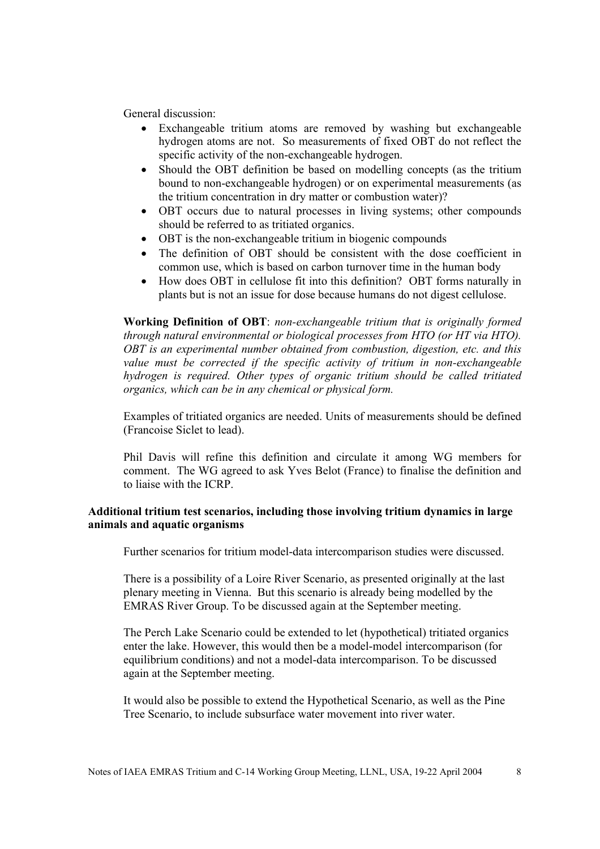General discussion:

- Exchangeable tritium atoms are removed by washing but exchangeable hydrogen atoms are not. So measurements of fixed OBT do not reflect the specific activity of the non-exchangeable hydrogen.
- Should the OBT definition be based on modelling concepts (as the tritium bound to non-exchangeable hydrogen) or on experimental measurements (as the tritium concentration in dry matter or combustion water)?
- OBT occurs due to natural processes in living systems; other compounds should be referred to as tritiated organics.
- OBT is the non-exchangeable tritium in biogenic compounds
- The definition of OBT should be consistent with the dose coefficient in common use, which is based on carbon turnover time in the human body
- How does OBT in cellulose fit into this definition? OBT forms naturally in plants but is not an issue for dose because humans do not digest cellulose.

**Working Definition of OBT**: *non-exchangeable tritium that is originally formed through natural environmental or biological processes from HTO (or HT via HTO). OBT is an experimental number obtained from combustion, digestion, etc. and this value must be corrected if the specific activity of tritium in non-exchangeable hydrogen is required. Other types of organic tritium should be called tritiated organics, which can be in any chemical or physical form.*

Examples of tritiated organics are needed. Units of measurements should be defined (Francoise Siclet to lead).

Phil Davis will refine this definition and circulate it among WG members for comment. The WG agreed to ask Yves Belot (France) to finalise the definition and to liaise with the ICRP.

## **Additional tritium test scenarios, including those involving tritium dynamics in large animals and aquatic organisms**

Further scenarios for tritium model-data intercomparison studies were discussed.

There is a possibility of a Loire River Scenario, as presented originally at the last plenary meeting in Vienna. But this scenario is already being modelled by the EMRAS River Group. To be discussed again at the September meeting.

The Perch Lake Scenario could be extended to let (hypothetical) tritiated organics enter the lake. However, this would then be a model-model intercomparison (for equilibrium conditions) and not a model-data intercomparison. To be discussed again at the September meeting.

It would also be possible to extend the Hypothetical Scenario, as well as the Pine Tree Scenario, to include subsurface water movement into river water.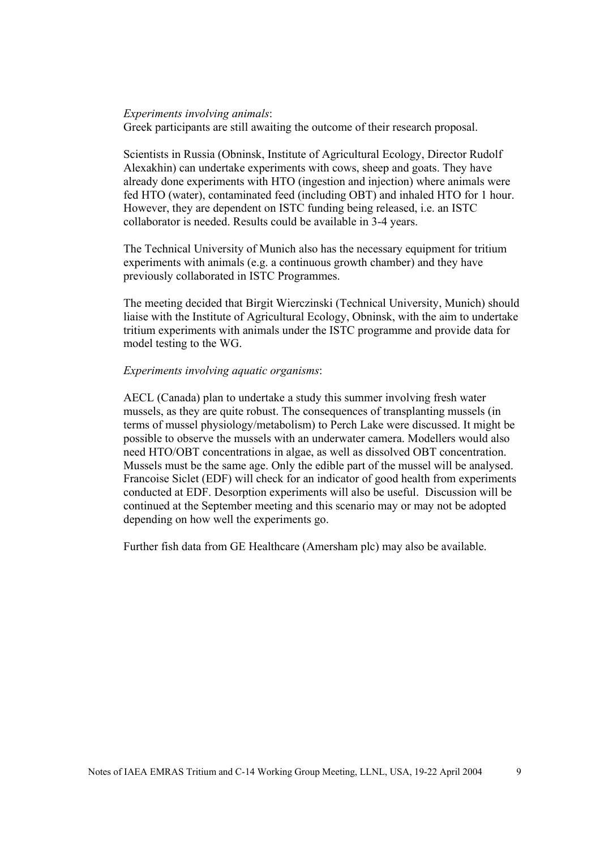#### *Experiments involving animals*:

Greek participants are still awaiting the outcome of their research proposal.

Scientists in Russia (Obninsk, Institute of Agricultural Ecology, Director Rudolf Alexakhin) can undertake experiments with cows, sheep and goats. They have already done experiments with HTO (ingestion and injection) where animals were fed HTO (water), contaminated feed (including OBT) and inhaled HTO for 1 hour. However, they are dependent on ISTC funding being released, i.e. an ISTC collaborator is needed. Results could be available in 3-4 years.

The Technical University of Munich also has the necessary equipment for tritium experiments with animals (e.g. a continuous growth chamber) and they have previously collaborated in ISTC Programmes.

The meeting decided that Birgit Wierczinski (Technical University, Munich) should liaise with the Institute of Agricultural Ecology, Obninsk, with the aim to undertake tritium experiments with animals under the ISTC programme and provide data for model testing to the WG.

#### *Experiments involving aquatic organisms*:

AECL (Canada) plan to undertake a study this summer involving fresh water mussels, as they are quite robust. The consequences of transplanting mussels (in terms of mussel physiology/metabolism) to Perch Lake were discussed. It might be possible to observe the mussels with an underwater camera. Modellers would also need HTO/OBT concentrations in algae, as well as dissolved OBT concentration. Mussels must be the same age. Only the edible part of the mussel will be analysed. Francoise Siclet (EDF) will check for an indicator of good health from experiments conducted at EDF. Desorption experiments will also be useful. Discussion will be continued at the September meeting and this scenario may or may not be adopted depending on how well the experiments go.

Further fish data from GE Healthcare (Amersham plc) may also be available.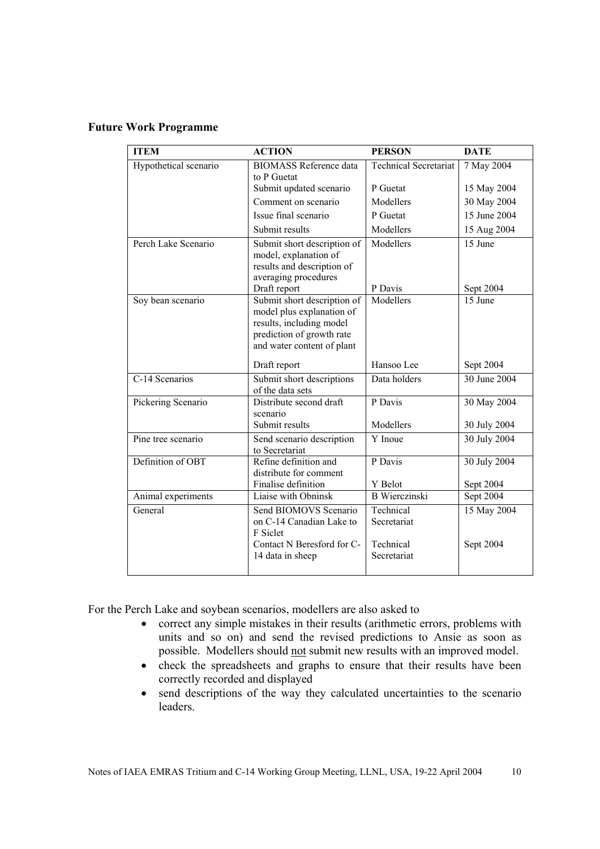## **Future Work Programme**

| <b>ITEM</b>           | <b>ACTION</b>                               | <b>PERSON</b>                | <b>DATE</b>          |
|-----------------------|---------------------------------------------|------------------------------|----------------------|
| Hypothetical scenario | <b>BIOMASS Reference data</b>               | <b>Technical Secretariat</b> | 7 May 2004           |
|                       | to P Guetat                                 |                              |                      |
|                       | Submit updated scenario                     | P Guetat                     | 15 May 2004          |
|                       | Comment on scenario                         | Modellers                    | 30 May 2004          |
|                       | Issue final scenario                        | P Guetat                     | 15 June 2004         |
|                       | Submit results                              | Modellers                    | 15 Aug 2004          |
| Perch Lake Scenario   | Submit short description of                 | Modellers                    | 15 June              |
|                       | model, explanation of                       |                              |                      |
|                       | results and description of                  |                              |                      |
|                       | averaging procedures                        |                              |                      |
|                       | Draft report<br>Submit short description of | P Davis<br>Modellers         | Sept 2004<br>15 June |
| Soy bean scenario     | model plus explanation of                   |                              |                      |
|                       | results, including model                    |                              |                      |
|                       | prediction of growth rate                   |                              |                      |
|                       | and water content of plant                  |                              |                      |
|                       |                                             |                              |                      |
|                       | Draft report                                | Hansoo Lee                   | Sept 2004            |
| C-14 Scenarios        | Submit short descriptions                   | Data holders                 | 30 June 2004         |
|                       | of the data sets                            |                              |                      |
| Pickering Scenario    | Distribute second draft<br>scenario         | P Davis                      | 30 May 2004          |
|                       | Submit results                              | Modellers                    | 30 July 2004         |
| Pine tree scenario    | Send scenario description                   | Y Inoue                      | 30 July 2004         |
|                       | to Secretariat                              |                              |                      |
| Definition of OBT     | Refine definition and                       | P Davis                      | 30 July 2004         |
|                       | distribute for comment                      |                              |                      |
|                       | Finalise definition                         | Y Belot                      | Sept 2004            |
| Animal experiments    | Liaise with Obninsk                         | <b>B</b> Wierczinski         | Sept 2004            |
| General               | Send BIOMOVS Scenario                       | Technical                    | 15 May 2004          |
|                       | on C-14 Canadian Lake to                    | Secretariat                  |                      |
|                       | F Siclet                                    |                              |                      |
|                       | Contact N Beresford for C-                  | Technical                    | Sept 2004            |
|                       | 14 data in sheep                            | Secretariat                  |                      |
|                       |                                             |                              |                      |

For the Perch Lake and soybean scenarios, modellers are also asked to

- correct any simple mistakes in their results (arithmetic errors, problems with units and so on) and send the revised predictions to Ansie as soon as possible. Modellers should not submit new results with an improved model.
- check the spreadsheets and graphs to ensure that their results have been correctly recorded and displayed
- send descriptions of the way they calculated uncertainties to the scenario leaders.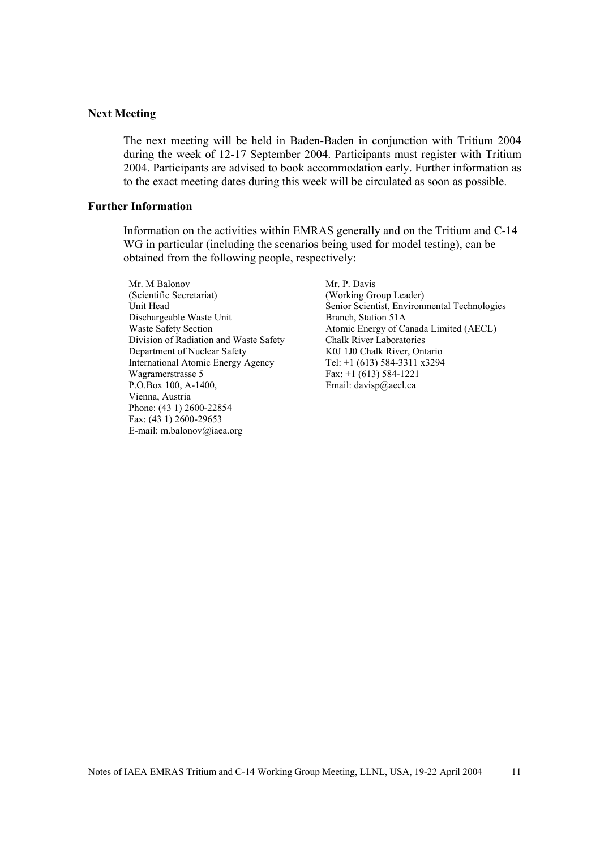#### **Next Meeting**

The next meeting will be held in Baden-Baden in conjunction with Tritium 2004 during the week of 12-17 September 2004. Participants must register with Tritium 2004. Participants are advised to book accommodation early. Further information as to the exact meeting dates during this week will be circulated as soon as possible.

#### **Further Information**

Information on the activities within EMRAS generally and on the Tritium and C-14 WG in particular (including the scenarios being used for model testing), can be obtained from the following people, respectively:

Mr. M Balonov (Scientific Secretariat) Unit Head Dischargeable Waste Unit Waste Safety Section Division of Radiation and Waste Safety Department of Nuclear Safety International Atomic Energy Agency Wagramerstrasse 5 P.O.Box 100, A-1400, Vienna, Austria Phone: (43 1) 2600-22854 Fax: (43 1) 2600-29653 E-mail: m.balonov@iaea.org

Mr. P. Davis (Working Group Leader) Senior Scientist, Environmental Technologies Branch, Station 51A Atomic Energy of Canada Limited (AECL) Chalk River Laboratories K0J 1J0 Chalk River, Ontario Tel: +1 (613) 584-3311 x3294 Fax: +1 (613) 584-1221 Email: davisp@aecl.ca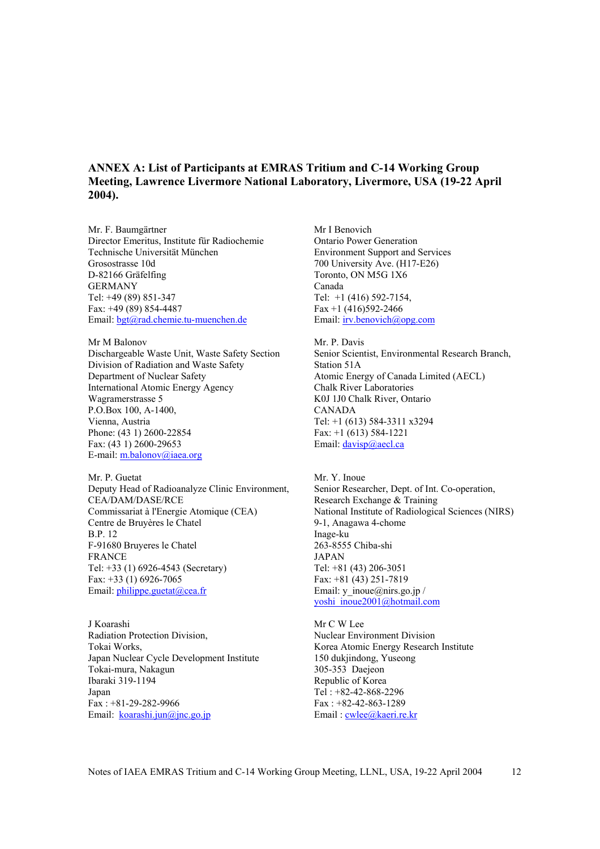## **ANNEX A: List of Participants at EMRAS Tritium and C-14 Working Group Meeting, Lawrence Livermore National Laboratory, Livermore, USA (19-22 April 2004).**

Mr. F. Baumgärtner Director Emeritus, Institute für Radiochemie Technische Universität München Grosostrasse 10d D-82166 Gräfelfing GERMANY Tel: +49 (89) 851-347 Fax: +49 (89) 854-4487 Email: bgt@rad.chemie.tu-muenchen.de

Mr M Balonov Dischargeable Waste Unit, Waste Safety Section Division of Radiation and Waste Safety Department of Nuclear Safety International Atomic Energy Agency Wagramerstrasse 5 P.O.Box 100, A-1400, Vienna, Austria Phone: (43 1) 2600-22854 Fax: (43 1) 2600-29653 E-mail: m.balonov@iaea.org

Mr. P. Guetat Deputy Head of Radioanalyze Clinic Environment, CEA/DAM/DASE/RCE Commissariat à l'Energie Atomique (CEA) Centre de Bruyères le Chatel B.P. 12 F-91680 Bruyeres le Chatel FRANCE Tel: +33 (1) 6926-4543 (Secretary) Fax: +33 (1) 6926-7065 Email: philippe.guetat@cea.fr

J Koarashi Radiation Protection Division, Tokai Works, Japan Nuclear Cycle Development Institute Tokai-mura, Nakagun Ibaraki 319-1194 Japan Fax : +81-29-282-9966 Email: koarashi.jun@jnc.go.jp

Mr I Benovich Ontario Power Generation Environment Support and Services 700 University Ave. (H17-E26) Toronto, ON M5G 1X6 Canada Tel: +1 (416) 592-7154, Fax  $+1$  (416)592-2466 Email: irv.benovich@opg.com

Mr. P. Davis Senior Scientist, Environmental Research Branch, Station 51A Atomic Energy of Canada Limited (AECL) Chalk River Laboratories K0J 1J0 Chalk River, Ontario CANADA Tel: +1 (613) 584-3311 x3294 Fax: +1 (613) 584-1221 Email: davisp@aecl.ca

Mr. Y. Inoue Senior Researcher, Dept. of Int. Co-operation, Research Exchange & Training National Institute of Radiological Sciences (NIRS) 9-1, Anagawa 4-chome Inage-ku 263-8555 Chiba-shi JAPAN Tel: +81 (43) 206-3051 Fax: +81 (43) 251-7819 Email: y\_inoue@nirs.go.jp / yoshi\_inoue2001@hotmail.com

Mr C W Lee Nuclear Environment Division Korea Atomic Energy Research Institute 150 dukjindong, Yuseong 305-353 Daejeon Republic of Korea Tel : +82-42-868-2296 Fax : +82-42-863-1289 Email: cwlee@kaeri.re.kr